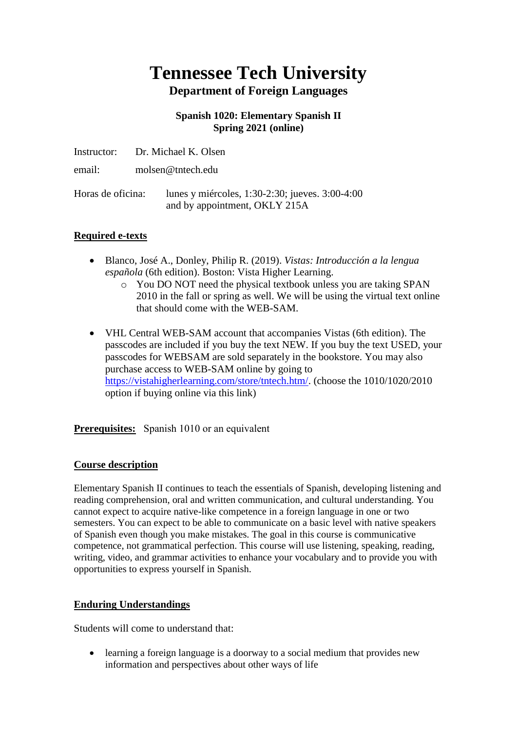# **Tennessee Tech University Department of Foreign Languages**

# **Spanish 1020: Elementary Spanish II Spring 2021 (online)**

|                   | Instructor: Dr. Michael K. Olsen                                                 |
|-------------------|----------------------------------------------------------------------------------|
| email:            | molsen@tntech.edu                                                                |
| Horas de oficina: | lunes y miércoles, 1:30-2:30; jueves. 3:00-4:00<br>and by appointment, OKLY 215A |

# **Required e-texts**

- Blanco, José A., Donley, Philip R. (2019). *Vistas: Introducción a la lengua española* (6th edition). Boston: Vista Higher Learning.
	- o You DO NOT need the physical textbook unless you are taking SPAN 2010 in the fall or spring as well. We will be using the virtual text online that should come with the WEB-SAM.
- VHL Central WEB-SAM account that accompanies Vistas (6th edition). The passcodes are included if you buy the text NEW. If you buy the text USED, your passcodes for WEBSAM are sold separately in the bookstore. You may also purchase access to WEB-SAM online by going to [https://vistahigherlearning.com/store/tntech.htm/.](https://vistahigherlearning.com/store/tntech.htm/) (choose the 1010/1020/2010 option if buying online via this link)

# **Prerequisites:** Spanish 1010 or an equivalent

# **Course description**

Elementary Spanish II continues to teach the essentials of Spanish, developing listening and reading comprehension, oral and written communication, and cultural understanding. You cannot expect to acquire native-like competence in a foreign language in one or two semesters. You can expect to be able to communicate on a basic level with native speakers of Spanish even though you make mistakes. The goal in this course is communicative competence, not grammatical perfection. This course will use listening, speaking, reading, writing, video, and grammar activities to enhance your vocabulary and to provide you with opportunities to express yourself in Spanish.

# **Enduring Understandings**

Students will come to understand that:

• learning a foreign language is a doorway to a social medium that provides new information and perspectives about other ways of life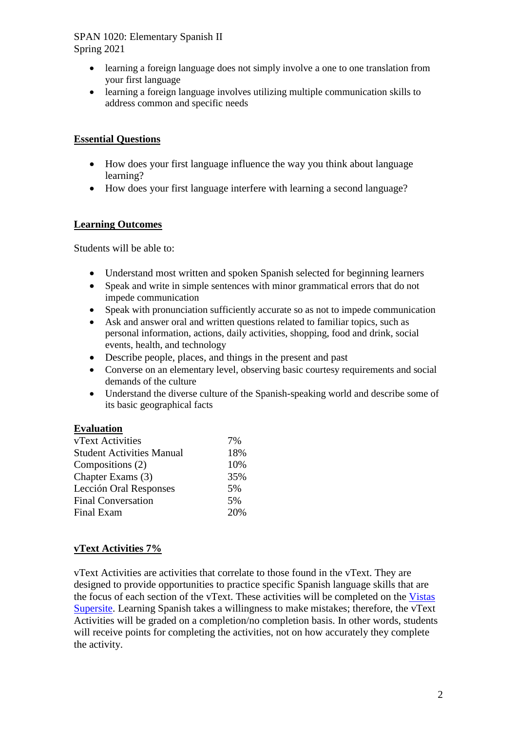- learning a foreign language does not simply involve a one to one translation from your first language
- learning a foreign language involves utilizing multiple communication skills to address common and specific needs

# **Essential Questions**

- How does your first language influence the way you think about language learning?
- How does your first language interfere with learning a second language?

# **Learning Outcomes**

Students will be able to:

- Understand most written and spoken Spanish selected for beginning learners
- Speak and write in simple sentences with minor grammatical errors that do not impede communication
- Speak with pronunciation sufficiently accurate so as not to impede communication
- Ask and answer oral and written questions related to familiar topics, such as personal information, actions, daily activities, shopping, food and drink, social events, health, and technology
- Describe people, places, and things in the present and past
- Converse on an elementary level, observing basic courtesy requirements and social demands of the culture
- Understand the diverse culture of the Spanish-speaking world and describe some of its basic geographical facts

# **Evaluation**

| vText Activities                 | 7%  |
|----------------------------------|-----|
| <b>Student Activities Manual</b> | 18% |
| Compositions (2)                 | 10% |
| Chapter Exams (3)                | 35% |
| Lección Oral Responses           | 5%  |
| <b>Final Conversation</b>        | 5%  |
| Final Exam                       | 20% |
|                                  |     |

# **vText Activities 7%**

vText Activities are activities that correlate to those found in the vText. They are designed to provide opportunities to practice specific Spanish language skills that are the focus of each section of the vText. These activities will be completed on the [Vistas](https://www.vhlcentral.com/)  [Supersite.](https://www.vhlcentral.com/) Learning Spanish takes a willingness to make mistakes; therefore, the vText Activities will be graded on a completion/no completion basis. In other words, students will receive points for completing the activities, not on how accurately they complete the activity.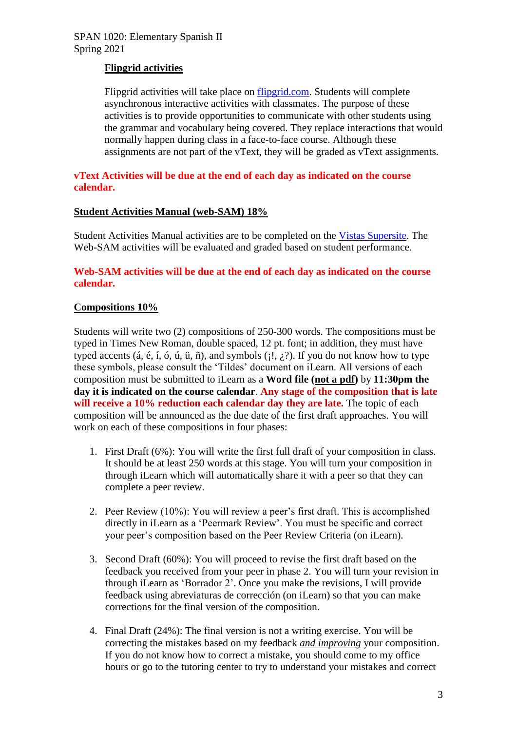# **Flipgrid activities**

Flipgrid activities will take place on [flipgrid.com.](https://flipgrid.com/) Students will complete asynchronous interactive activities with classmates. The purpose of these activities is to provide opportunities to communicate with other students using the grammar and vocabulary being covered. They replace interactions that would normally happen during class in a face-to-face course. Although these assignments are not part of the vText, they will be graded as vText assignments.

#### **vText Activities will be due at the end of each day as indicated on the course calendar.**

#### **Student Activities Manual (web-SAM) 18%**

Student Activities Manual activities are to be completed on the [Vistas Supersite.](https://www.vhlcentral.com/) The Web-SAM activities will be evaluated and graded based on student performance.

# **Web-SAM activities will be due at the end of each day as indicated on the course calendar.**

#### **Compositions 10%**

Students will write two (2) compositions of 250-300 words. The compositions must be typed in Times New Roman, double spaced, 12 pt. font; in addition, they must have typed accents (á, é, í, ó, ú, ü, ñ), and symbols ( $; \xi$ ). If you do not know how to type these symbols, please consult the 'Tildes' document on iLearn. All versions of each composition must be submitted to iLearn as a **Word file (not a pdf)** by **11:30pm the day it is indicated on the course calendar**. **Any stage of the composition that is late will receive a 10% reduction each calendar day they are late.** The topic of each composition will be announced as the due date of the first draft approaches. You will work on each of these compositions in four phases:

- 1. First Draft (6%): You will write the first full draft of your composition in class. It should be at least 250 words at this stage. You will turn your composition in through iLearn which will automatically share it with a peer so that they can complete a peer review.
- 2. Peer Review (10%): You will review a peer's first draft. This is accomplished directly in iLearn as a 'Peermark Review'. You must be specific and correct your peer's composition based on the Peer Review Criteria (on iLearn).
- 3. Second Draft (60%): You will proceed to revise the first draft based on the feedback you received from your peer in phase 2. You will turn your revision in through iLearn as 'Borrador 2'. Once you make the revisions, I will provide feedback using abreviaturas de corrección (on iLearn) so that you can make corrections for the final version of the composition.
- 4. Final Draft (24%): The final version is not a writing exercise. You will be correcting the mistakes based on my feedback *and improving* your composition. If you do not know how to correct a mistake, you should come to my office hours or go to the tutoring center to try to understand your mistakes and correct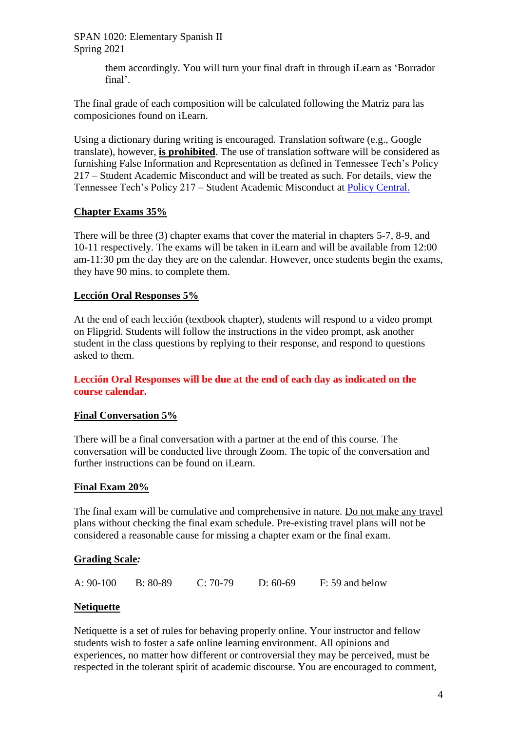> them accordingly. You will turn your final draft in through iLearn as 'Borrador final'.

The final grade of each composition will be calculated following the Matriz para las composiciones found on iLearn.

Using a dictionary during writing is encouraged. Translation software (e.g., Google translate), however, **is prohibited**. The use of translation software will be considered as furnishing False Information and Representation as defined in Tennessee Tech's Policy 217 – Student Academic Misconduct and will be treated as such. For details, view the Tennessee Tech's Policy 217 – Student Academic Misconduct at [Policy Central.](https://www.tntech.edu/policies/)

# **Chapter Exams 35%**

There will be three (3) chapter exams that cover the material in chapters 5-7, 8-9, and 10-11 respectively. The exams will be taken in iLearn and will be available from 12:00 am-11:30 pm the day they are on the calendar. However, once students begin the exams, they have 90 mins. to complete them.

# **Lección Oral Responses 5%**

At the end of each lección (textbook chapter), students will respond to a video prompt on Flipgrid. Students will follow the instructions in the video prompt, ask another student in the class questions by replying to their response, and respond to questions asked to them.

# **Lección Oral Responses will be due at the end of each day as indicated on the course calendar.**

# **Final Conversation 5%**

There will be a final conversation with a partner at the end of this course. The conversation will be conducted live through Zoom. The topic of the conversation and further instructions can be found on iLearn.

# **Final Exam 20%**

The final exam will be cumulative and comprehensive in nature. Do not make any travel plans without checking the final exam schedule. Pre-existing travel plans will not be considered a reasonable cause for missing a chapter exam or the final exam.

# **Grading Scale***:*

| A: $90-100$ | $B: 80-89$ | $C: 70-79$ | $D: 60-69$ | F: 59 and below |
|-------------|------------|------------|------------|-----------------|
|             |            |            |            |                 |

# **Netiquette**

Netiquette is a set of rules for behaving properly online. Your instructor and fellow students wish to foster a safe online learning environment. All opinions and experiences, no matter how different or controversial they may be perceived, must be respected in the tolerant spirit of academic discourse. You are encouraged to comment,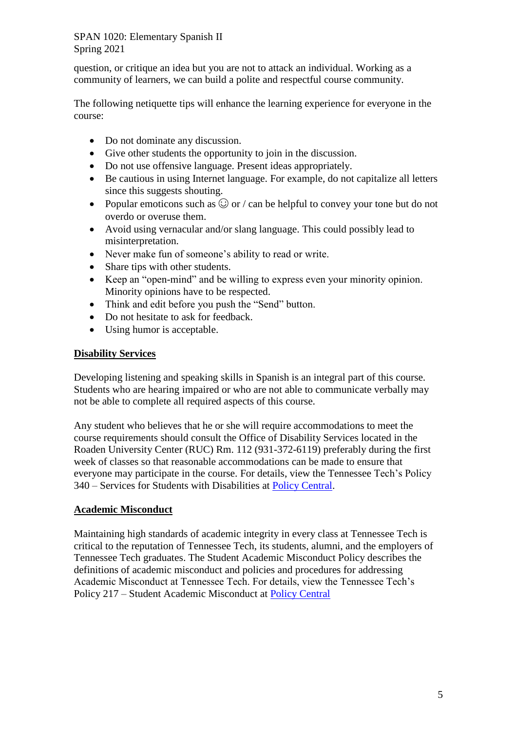question, or critique an idea but you are not to attack an individual. Working as a community of learners, we can build a polite and respectful course community.

The following netiquette tips will enhance the learning experience for everyone in the course:

- Do not dominate any discussion.
- Give other students the opportunity to join in the discussion.
- Do not use offensive language. Present ideas appropriately.
- Be cautious in using Internet language. For example, do not capitalize all letters since this suggests shouting.
- Popular emoticons such as  $\odot$  or / can be helpful to convey your tone but do not overdo or overuse them.
- Avoid using vernacular and/or slang language. This could possibly lead to misinterpretation.
- Never make fun of someone's ability to read or write.
- Share tips with other students.
- Keep an "open-mind" and be willing to express even your minority opinion. Minority opinions have to be respected.
- Think and edit before you push the "Send" button.
- Do not hesitate to ask for feedback.
- Using humor is acceptable.

# **Disability Services**

Developing listening and speaking skills in Spanish is an integral part of this course. Students who are hearing impaired or who are not able to communicate verbally may not be able to complete all required aspects of this course.

Any student who believes that he or she will require accommodations to meet the course requirements should consult the Office of Disability Services located in the Roaden University Center (RUC) Rm. 112 (931-372-6119) preferably during the first week of classes so that reasonable accommodations can be made to ensure that everyone may participate in the course. For details, view the Tennessee Tech's Policy 340 – Services for Students with Disabilities at [Policy Central.](https://www.tntech.edu/policies/)

# **Academic Misconduct**

Maintaining high standards of academic integrity in every class at Tennessee Tech is critical to the reputation of Tennessee Tech, its students, alumni, and the employers of Tennessee Tech graduates. The Student Academic Misconduct Policy describes the definitions of academic misconduct and policies and procedures for addressing Academic Misconduct at Tennessee Tech. For details, view the Tennessee Tech's Policy 217 – Student Academic Misconduct at [Policy Central](https://www.tntech.edu/policies/)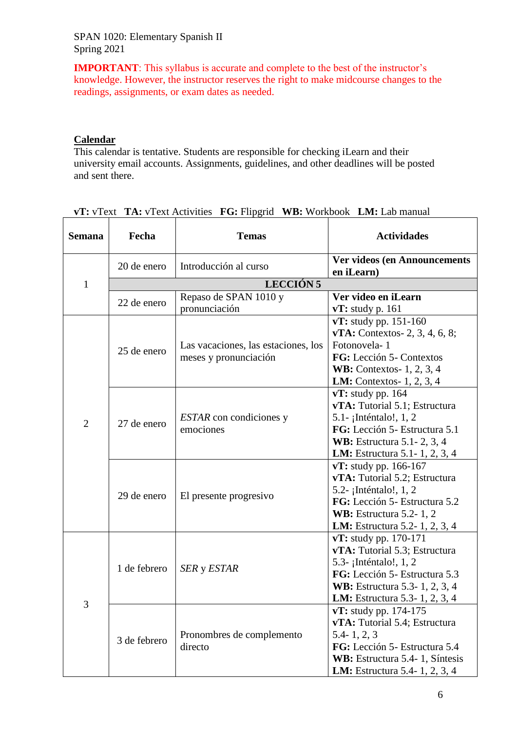**IMPORTANT**: This syllabus is accurate and complete to the best of the instructor's knowledge. However, the instructor reserves the right to make midcourse changes to the readings, assignments, or exam dates as needed.

# **Calendar**

This calendar is tentative. Students are responsible for checking iLearn and their university email accounts. Assignments, guidelines, and other deadlines will be posted and sent there.

| <b>Semana</b>  | Fecha        | <b>Temas</b>                                                 | <b>Actividades</b>                                                                                                                                                                                   |
|----------------|--------------|--------------------------------------------------------------|------------------------------------------------------------------------------------------------------------------------------------------------------------------------------------------------------|
|                | 20 de enero  | Introducción al curso                                        | <b>Ver videos (en Announcements</b><br>en iLearn)                                                                                                                                                    |
| $\mathbf{1}$   |              | LECCIÓN 5                                                    |                                                                                                                                                                                                      |
|                | 22 de enero  | Repaso de SPAN 1010 y<br>pronunciación                       | Ver video en iLearn<br>$vT$ : study p. 161                                                                                                                                                           |
| $\overline{2}$ | 25 de enero  | Las vacaciones, las estaciones, los<br>meses y pronunciación | vT: study pp. 151-160<br><b>vTA:</b> Contextos- 2, 3, 4, 6, 8;<br>Fotonovela-1<br>FG: Lección 5- Contextos<br><b>WB:</b> Contextos-1, 2, 3, 4<br>LM: Contextos- 1, 2, 3, 4                           |
|                | 27 de enero  | <i>ESTAR</i> con condiciones y<br>emociones                  | $vT$ : study pp. 164<br>vTA: Tutorial 5.1; Estructura<br>5.1- ¡Inténtalo!, 1, 2<br>FG: Lección 5- Estructura 5.1<br><b>WB:</b> Estructura 5.1 - 2, 3, 4<br><b>LM:</b> Estructura 5.1 - 1, 2, 3, 4    |
|                | 29 de enero  | El presente progresivo                                       | $vT:$ study pp. 166-167<br>vTA: Tutorial 5.2; Estructura<br>5.2- ¡Inténtalo!, 1, 2<br>FG: Lección 5- Estructura 5.2<br><b>WB:</b> Estructura 5.2-1, 2<br><b>LM:</b> Estructura 5.2-1, 2, 3, 4        |
| 3              | 1 de febrero | SER y ESTAR                                                  | $vT$ : study pp. 170-171<br>vTA: Tutorial 5.3; Estructura<br>5.3- ¡Inténtalo!, 1, 2<br>FG: Lección 5- Estructura 5.3<br><b>WB:</b> Estructura 5.3-1, 2, 3, 4<br><b>LM:</b> Estructura 5.3-1, 2, 3, 4 |
|                | 3 de febrero | Pronombres de complemento<br>directo                         | vT: study pp. 174-175<br>vTA: Tutorial 5.4; Estructura<br>$5.4 - 1, 2, 3$<br>FG: Lección 5- Estructura 5.4<br>WB: Estructura 5.4-1, Síntesis<br><b>LM:</b> Estructura 5.4-1, 2, 3, 4                 |

| vT: vText TA: vText Activities FG: Flipgrid WB: Workbook LM: Lab manual |  |  |
|-------------------------------------------------------------------------|--|--|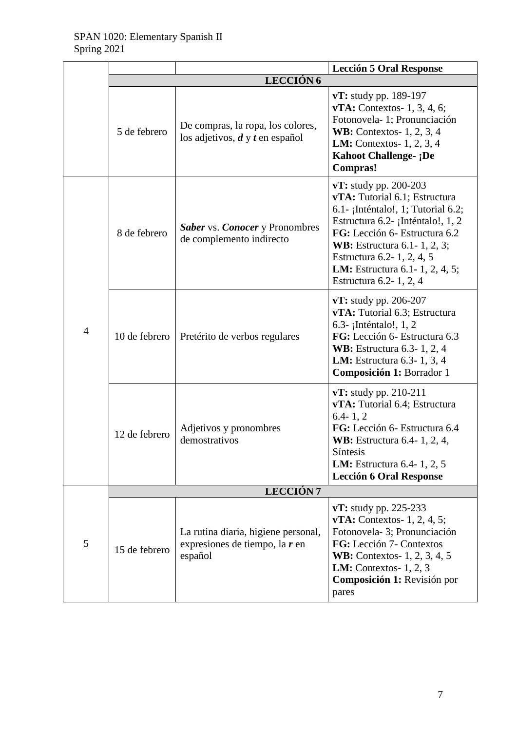|                |                  |                                                                                    | <b>Lección 5 Oral Response</b>                                                                                                                                                                                                                                                                              |  |
|----------------|------------------|------------------------------------------------------------------------------------|-------------------------------------------------------------------------------------------------------------------------------------------------------------------------------------------------------------------------------------------------------------------------------------------------------------|--|
|                | <b>LECCIÓN 6</b> |                                                                                    |                                                                                                                                                                                                                                                                                                             |  |
|                | 5 de febrero     | De compras, la ropa, los colores,<br>los adjetivos, $d y t$ en español             | $vT$ : study pp. 189-197<br>$vTA$ : Contextos- 1, 3, 4, 6;<br>Fotonovela-1; Pronunciación<br><b>WB:</b> Contextos-1, 2, 3, 4<br><b>LM:</b> Contextos- $1, 2, 3, 4$<br><b>Kahoot Challenge- ;De</b><br><b>Compras!</b>                                                                                       |  |
| $\overline{4}$ | 8 de febrero     | <b>Saber</b> vs. <b>Conocer</b> y Pronombres<br>de complemento indirecto           | $vT$ : study pp. 200-203<br>vTA: Tutorial 6.1; Estructura<br>6.1- ¡Inténtalo!, 1; Tutorial 6.2;<br>Estructura 6.2- ¡Inténtalo!, 1, 2<br>FG: Lección 6- Estructura 6.2<br><b>WB:</b> Estructura 6.1-1, 2, 3;<br>Estructura 6.2-1, 2, 4, 5<br><b>LM:</b> Estructura 6.1-1, 2, 4, 5;<br>Estructura 6.2-1, 2, 4 |  |
|                | 10 de febrero    | Pretérito de verbos regulares                                                      | $vT$ : study pp. 206-207<br>vTA: Tutorial 6.3; Estructura<br>6.3- ¡Inténtalo!, $1, 2$<br>FG: Lección 6- Estructura 6.3<br><b>WB:</b> Estructura 6.3-1, 2, 4<br><b>LM:</b> Estructura 6.3-1, 3, 4<br>Composición 1: Borrador 1                                                                               |  |
|                | 12 de febrero    | Adjetivos y pronombres<br>demostrativos                                            | $vT$ : study pp. 210-211<br>vTA: Tutorial 6.4; Estructura<br>$6.4 - 1, 2$<br>FG: Lección 6- Estructura 6.4<br><b>WB:</b> Estructura 6.4-1, 2, 4,<br>Síntesis<br><b>LM:</b> Estructura 6.4-1, 2, 5<br><b>Lección 6 Oral Response</b>                                                                         |  |
|                | <b>LECCIÓN7</b>  |                                                                                    |                                                                                                                                                                                                                                                                                                             |  |
| 5              | 15 de febrero    | La rutina diaria, higiene personal,<br>expresiones de tiempo, la $r$ en<br>español | $vT$ : study pp. 225-233<br>$vTA$ : Contextos- 1, 2, 4, 5;<br>Fotonovela-3; Pronunciación<br>FG: Lección 7- Contextos<br><b>WB:</b> Contextos- 1, 2, 3, 4, 5<br><b>LM:</b> Contextos- $1, 2, 3$<br>Composición 1: Revisión por<br>pares                                                                     |  |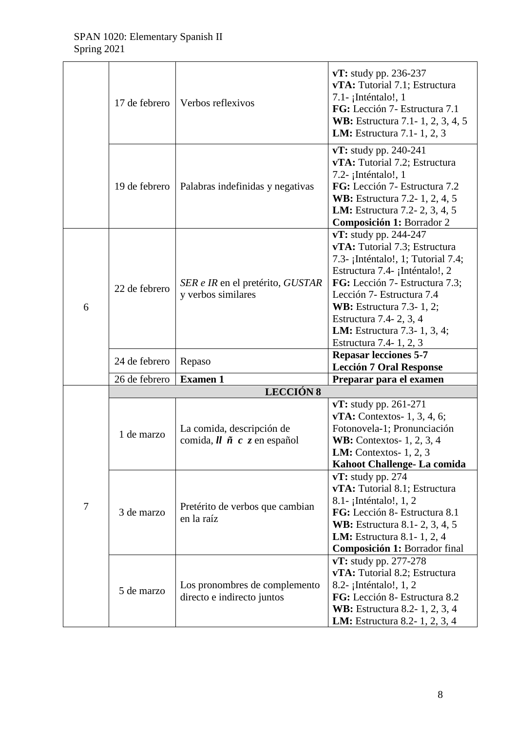|   | 17 de febrero | Verbos reflexivos                                                                                                              | $vT$ : study pp. 236-237<br>vTA: Tutorial 7.1; Estructura<br>7.1- ¡Inténtalo!, 1<br>FG: Lección 7- Estructura 7.1<br><b>WB:</b> Estructura 7.1-1, 2, 3, 4, 5<br><b>LM:</b> Estructura 7.1 - 1, 2, 3                                                                                                                           |
|---|---------------|--------------------------------------------------------------------------------------------------------------------------------|-------------------------------------------------------------------------------------------------------------------------------------------------------------------------------------------------------------------------------------------------------------------------------------------------------------------------------|
|   | 19 de febrero | Palabras indefinidas y negativas                                                                                               | $vT$ : study pp. 240-241<br>vTA: Tutorial 7.2; Estructura<br>7.2- ¡Inténtalo!, 1<br>FG: Lección 7- Estructura 7.2<br><b>WB:</b> Estructura 7.2-1, 2, 4, 5<br>LM: Estructura 7.2-2, 3, 4, 5<br>Composición 1: Borrador 2                                                                                                       |
| 6 | 22 de febrero | SER e IR en el pretérito, GUSTAR<br>y verbos similares                                                                         | $vT:$ study pp. 244-247<br>vTA: Tutorial 7.3; Estructura<br>7.3- ¡Inténtalo!, 1; Tutorial 7.4;<br>Estructura 7.4- ¡Inténtalo!, 2<br>FG: Lección 7- Estructura 7.3;<br>Lección 7- Estructura 7.4<br><b>WB:</b> Estructura 7.3-1, 2;<br>Estructura 7.4- 2, 3, 4<br><b>LM:</b> Estructura 7.3-1, 3, 4;<br>Estructura 7.4-1, 2, 3 |
|   | 24 de febrero | Repaso                                                                                                                         | <b>Repasar lecciones 5-7</b>                                                                                                                                                                                                                                                                                                  |
|   | 26 de febrero | <b>Examen 1</b>                                                                                                                | <b>Lección 7 Oral Response</b><br>Preparar para el examen                                                                                                                                                                                                                                                                     |
|   |               | <b>LECCIÓN 8</b>                                                                                                               |                                                                                                                                                                                                                                                                                                                               |
| 7 | 1 de marzo    | La comida, descripción de<br>comida, $\mathbf{l} \mathbf{l}$ $\tilde{\mathbf{n}}$ $\mathbf{c}$ $\tilde{\mathbf{z}}$ en español | $vT$ : study pp. 261-271<br>$vTA$ : Contextos- 1, 3, 4, 6;<br>Fotonovela-1; Pronunciación<br><b>WB:</b> Contextos- $1, 2, 3, 4$<br><b>LM:</b> Contextos- $1, 2, 3$<br>Kahoot Challenge- La comida                                                                                                                             |
|   |               |                                                                                                                                | $vT$ : study pp. 274<br>vTA: Tutorial 8.1; Estructura<br>8.1 - ¡Inténtalo!, 1, 2                                                                                                                                                                                                                                              |
|   | 3 de marzo    | Pretérito de verbos que cambian<br>en la raíz                                                                                  | FG: Lección 8- Estructura 8.1<br>WB: Estructura 8.1-2, 3, 4, 5<br><b>LM:</b> Estructura 8.1-1, 2, 4<br>Composición 1: Borrador final                                                                                                                                                                                          |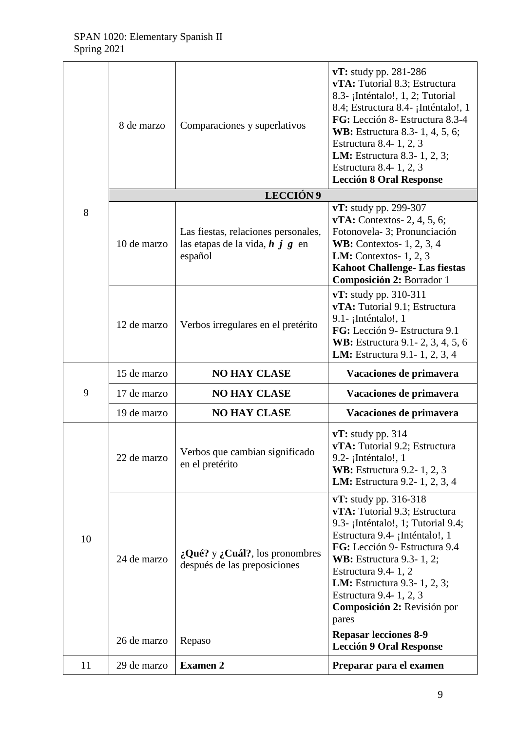|    | 8 de marzo  | Comparaciones y superlativos                                                              | $vT$ : study pp. 281-286<br>vTA: Tutorial 8.3; Estructura<br>8.3- ¡Inténtalo!, 1, 2; Tutorial<br>8.4; Estructura 8.4- ¡Inténtalo!, 1<br>FG: Lección 8- Estructura 8.3-4<br><b>WB:</b> Estructura 8.3-1, 4, 5, 6;<br>Estructura 8.4-1, 2, 3<br><b>LM:</b> Estructura 8.3-1, 2, 3;<br>Estructura 8.4-1, 2, 3<br><b>Lección 8 Oral Response</b> |
|----|-------------|-------------------------------------------------------------------------------------------|----------------------------------------------------------------------------------------------------------------------------------------------------------------------------------------------------------------------------------------------------------------------------------------------------------------------------------------------|
|    |             | <b>LECCIÓN 9</b>                                                                          |                                                                                                                                                                                                                                                                                                                                              |
| 8  | 10 de marzo | Las fiestas, relaciones personales,<br>las etapas de la vida, $h \, j \, g$ en<br>español | vT: study pp. 299-307<br>$vTA$ : Contextos- 2, 4, 5, 6;<br>Fotonovela-3; Pronunciación<br><b>WB:</b> Contextos-1, 2, 3, 4<br><b>LM:</b> Contextos- $1, 2, 3$<br><b>Kahoot Challenge- Las fiestas</b><br>Composición 2: Borrador 1                                                                                                            |
|    | 12 de marzo | Verbos irregulares en el pretérito                                                        | $vT:$ study pp. 310-311<br>vTA: Tutorial 9.1; Estructura<br>9.1- ¡Inténtalo!, 1<br>FG: Lección 9- Estructura 9.1<br><b>WB:</b> Estructura 9.1 - 2, 3, 4, 5, 6<br><b>LM:</b> Estructura 9.1 - 1, 2, 3, 4                                                                                                                                      |
|    | 15 de marzo | <b>NO HAY CLASE</b>                                                                       | Vacaciones de primavera                                                                                                                                                                                                                                                                                                                      |
| 9  | 17 de marzo | <b>NO HAY CLASE</b>                                                                       | Vacaciones de primavera                                                                                                                                                                                                                                                                                                                      |
|    | 19 de marzo | <b>NO HAY CLASE</b>                                                                       | Vacaciones de primavera                                                                                                                                                                                                                                                                                                                      |
|    |             |                                                                                           |                                                                                                                                                                                                                                                                                                                                              |
|    | 22 de marzo | Verbos que cambian significado<br>en el pretérito                                         | $vT$ : study pp. 314<br>vTA: Tutorial 9.2; Estructura<br>9.2- ¡Inténtalo!, 1<br><b>WB:</b> Estructura 9.2-1, 2, 3<br><b>LM:</b> Estructura 9.2-1, 2, 3, 4                                                                                                                                                                                    |
| 10 | 24 de marzo | $:$ Qué? y $:$ Cuál?, los pronombres<br>después de las preposiciones                      | $vT$ : study pp. 316-318<br>vTA: Tutorial 9.3; Estructura<br>9.3- ¡Inténtalo!, 1; Tutorial 9.4;<br>Estructura 9.4- ¡Inténtalo!, 1<br>FG: Lección 9- Estructura 9.4<br><b>WB:</b> Estructura 9.3-1, 2;<br>Estructura 9.4-1, 2<br><b>LM:</b> Estructura 9.3-1, 2, 3;<br>Estructura 9.4-1, 2, 3<br>Composición 2: Revisión por<br>pares         |
|    | 26 de marzo | Repaso                                                                                    | <b>Repasar lecciones 8-9</b><br><b>Lección 9 Oral Response</b>                                                                                                                                                                                                                                                                               |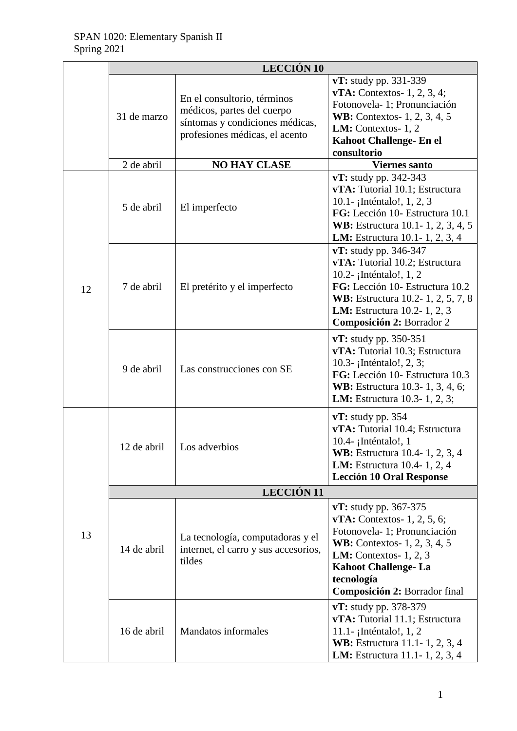|    | <b>LECCIÓN 10</b> |                                                                                                                                |                                                                                                                                                                                                                                                 |  |  |
|----|-------------------|--------------------------------------------------------------------------------------------------------------------------------|-------------------------------------------------------------------------------------------------------------------------------------------------------------------------------------------------------------------------------------------------|--|--|
|    | 31 de marzo       | En el consultorio, términos<br>médicos, partes del cuerpo<br>síntomas y condiciones médicas,<br>profesiones médicas, el acento | $vT$ : study pp. 331-339<br>$vTA$ : Contextos- 1, 2, 3, 4;<br>Fotonovela-1; Pronunciación<br><b>WB:</b> Contextos- 1, 2, 3, 4, 5<br><b>LM:</b> Contextos-1, $2$<br><b>Kahoot Challenge- En el</b><br>consultorio                                |  |  |
|    | 2 de abril        | <b>NO HAY CLASE</b>                                                                                                            | <b>Viernes santo</b>                                                                                                                                                                                                                            |  |  |
| 12 | 5 de abril        | El imperfecto                                                                                                                  | $vT:$ study pp. 342-343<br>vTA: Tutorial 10.1; Estructura<br>10.1- ¡Inténtalo!, 1, 2, 3<br>FG: Lección 10- Estructura 10.1<br>WB: Estructura 10.1-1, 2, 3, 4, 5<br><b>LM:</b> Estructura 10.1-1, 2, 3, 4                                        |  |  |
|    | 7 de abril        | El pretérito y el imperfecto                                                                                                   | $vT:$ study pp. 346-347<br>vTA: Tutorial 10.2; Estructura<br>10.2- ¡Inténtalo!, 1, 2<br>FG: Lección 10- Estructura 10.2<br><b>WB:</b> Estructura 10.2-1, 2, 5, 7, 8<br><b>LM:</b> Estructura 10.2-1, 2, 3<br>Composición 2: Borrador 2          |  |  |
|    | 9 de abril        | Las construcciones con SE                                                                                                      | $vT:$ study pp. 350-351<br>vTA: Tutorial 10.3; Estructura<br>10.3- ¡Inténtalo!, 2, 3;<br>FG: Lección 10- Estructura 10.3<br><b>WB:</b> Estructura 10.3-1, 3, 4, 6;<br><b>LM:</b> Estructura 10.3-1, 2, 3;                                       |  |  |
|    | 12 de abril       | Los adverbios                                                                                                                  | $vT:$ study pp. 354<br>vTA: Tutorial 10.4; Estructura<br>10.4- ¡Inténtalo!, 1<br>WB: Estructura 10.4-1, 2, 3, 4<br><b>LM:</b> Estructura 10.4-1, 2, 4<br><b>Lección 10 Oral Response</b>                                                        |  |  |
|    | <b>LECCIÓN 11</b> |                                                                                                                                |                                                                                                                                                                                                                                                 |  |  |
| 13 | 14 de abril       | La tecnología, computadoras y el<br>internet, el carro y sus accesorios,<br>tildes                                             | $vT:$ study pp. 367-375<br>$vTA$ : Contextos- 1, 2, 5, 6;<br>Fotonovela-1; Pronunciación<br><b>WB:</b> Contextos- 1, 2, 3, 4, 5<br><b>LM:</b> Contextos- $1, 2, 3$<br><b>Kahoot Challenge-La</b><br>tecnología<br>Composición 2: Borrador final |  |  |
|    | 16 de abril       | <b>Mandatos</b> informales                                                                                                     | $vT:$ study pp. 378-379<br>vTA: Tutorial 11.1; Estructura<br>11.1- ¡Inténtalo!, $1, 2$<br><b>WB:</b> Estructura 11.1-1, 2, 3, 4<br><b>LM:</b> Estructura 11.1-1, 2, 3, 4                                                                        |  |  |